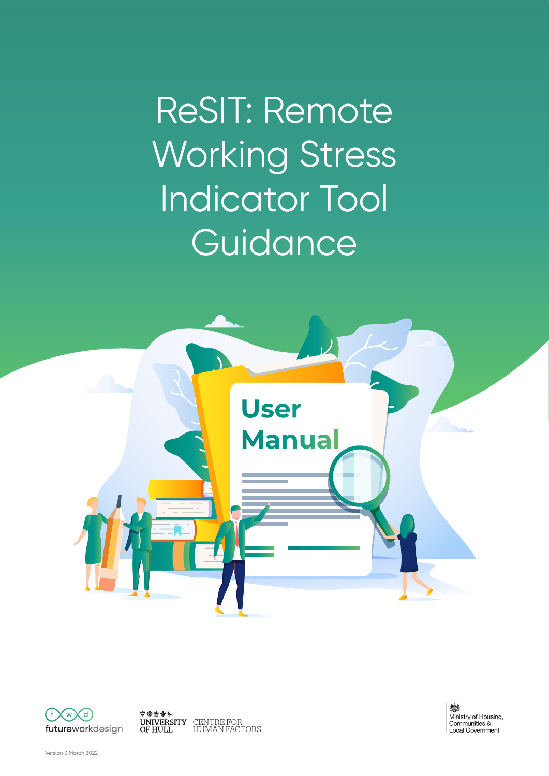ReSIT: Remote Working Stress Indicator Tool **Guidance** 





中国主义 CENTRE FOR HUMAN FACTORS

燃 Ministry of Housing, Communities &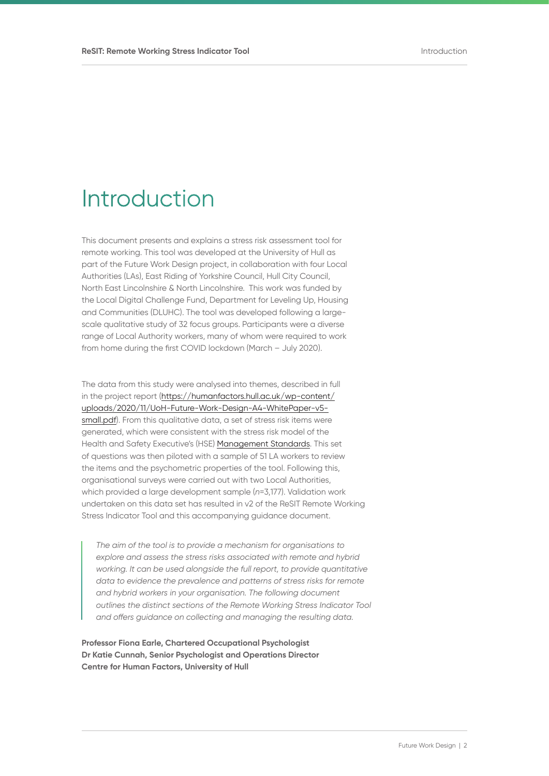# Introduction

This document presents and explains a stress risk assessment tool for remote working. This tool was developed at the University of Hull as part of the Future Work Design project, in collaboration with four Local Authorities (LAs), East Riding of Yorkshire Council, Hull City Council, North East Lincolnshire & North Lincolnshire. This work was funded by the Local Digital Challenge Fund, Department for Leveling Up, Housing and Communities (DLUHC). The tool was developed following a largescale qualitative study of 32 focus groups. Participants were a diverse range of Local Authority workers, many of whom were required to work from home during the first COVID lockdown (March – July 2020).

The data from this study were analysed into themes, described in full in the project report [\(https://humanfactors.hull.ac.uk/wp-content/](https://humanfactors.hull.ac.uk/wp-content/uploads/2020/11/UoH-Future-Work-Design-A4-WhitePaper-v5-small.pdf) [uploads/2020/11/UoH-Future-Work-Design-A4-WhitePaper-v5](https://humanfactors.hull.ac.uk/wp-content/uploads/2020/11/UoH-Future-Work-Design-A4-WhitePaper-v5-small.pdf) [small.pdf](https://humanfactors.hull.ac.uk/wp-content/uploads/2020/11/UoH-Future-Work-Design-A4-WhitePaper-v5-small.pdf)). From this qualitative data, a set of stress risk items were generated, which were consistent with the stress risk model of the Health and Safety Executive's (HSE) [Management Standards](https://www.hse.gov.uk/stress/standards/). This set of questions was then piloted with a sample of 51 LA workers to review the items and the psychometric properties of the tool. Following this, organisational surveys were carried out with two Local Authorities, which provided a large development sample (*n*=3,177). Validation work undertaken on this data set has resulted in v2 of the ReSIT Remote Working Stress Indicator Tool and this accompanying guidance document.

*The aim of the tool is to provide a mechanism for organisations to explore and assess the stress risks associated with remote and hybrid working. It can be used alongside the full report, to provide quantitative data to evidence the prevalence and patterns of stress risks for remote and hybrid workers in your organisation. The following document outlines the distinct sections of the Remote Working Stress Indicator Tool and offers guidance on collecting and managing the resulting data.*

**Professor Fiona Earle, Chartered Occupational Psychologist Dr Katie Cunnah, Senior Psychologist and Operations Director Centre for Human Factors, University of Hull**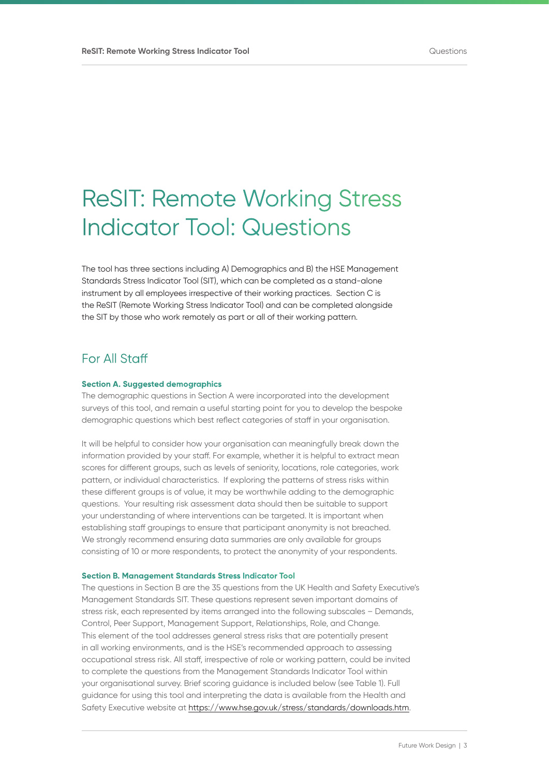# ReSIT: Remote Working Stress Indicator Tool: Questions

The tool has three sections including A) Demographics and B) the HSE Management Standards Stress Indicator Tool (SIT), which can be completed as a stand-alone instrument by all employees irrespective of their working practices. Section C is the ReSIT (Remote Working Stress Indicator Tool) and can be completed alongside the SIT by those who work remotely as part or all of their working pattern.

## For All Staff

#### **Section A. Suggested demographics**

The demographic questions in Section A were incorporated into the development surveys of this tool, and remain a useful starting point for you to develop the bespoke demographic questions which best reflect categories of staff in your organisation.

It will be helpful to consider how your organisation can meaningfully break down the information provided by your staff. For example, whether it is helpful to extract mean scores for different groups, such as levels of seniority, locations, role categories, work pattern, or individual characteristics. If exploring the patterns of stress risks within these different groups is of value, it may be worthwhile adding to the demographic questions. Your resulting risk assessment data should then be suitable to support your understanding of where interventions can be targeted. It is important when establishing staff groupings to ensure that participant anonymity is not breached. We strongly recommend ensuring data summaries are only available for groups consisting of 10 or more respondents, to protect the anonymity of your respondents.

#### **Section B. Management Standards Stress Indicator Tool**

The questions in Section B are the 35 questions from the UK Health and Safety Executive's Management Standards SIT. These questions represent seven important domains of stress risk, each represented by items arranged into the following subscales – Demands, Control, Peer Support, Management Support, Relationships, Role, and Change. This element of the tool addresses general stress risks that are potentially present in all working environments, and is the HSE's recommended approach to assessing occupational stress risk. All staff, irrespective of role or working pattern, could be invited to complete the questions from the Management Standards Indicator Tool within your organisational survey. Brief scoring guidance is included below (see Table 1). Full guidance for using this tool and interpreting the data is available from the Health and Safety Executive website at [https://www.hse.gov.uk/stress/standards/downloads.htm.](https://www.hse.gov.uk/stress/standards/downloads.htm)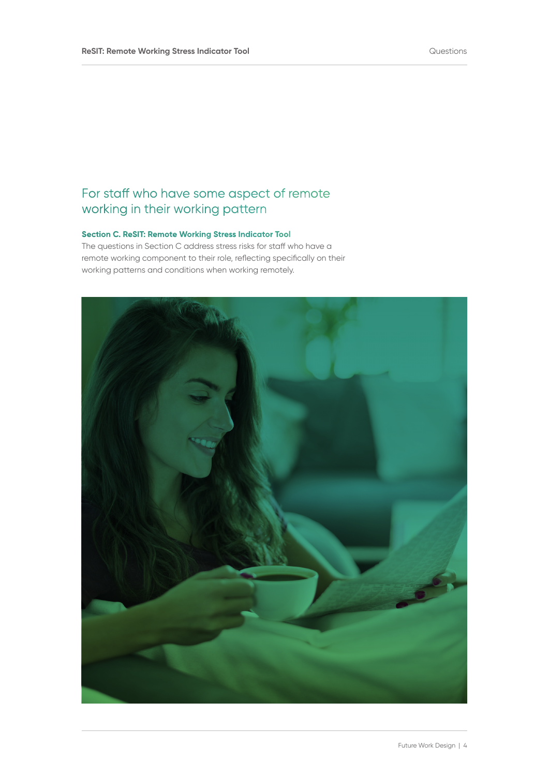# For staff who have some aspect of remote working in their working pattern

## **Section C. ReSIT: Remote Working Stress Indicator Tool**

The questions in Section C address stress risks for staff who have a remote working component to their role, reflecting specifically on their working patterns and conditions when working remotely.

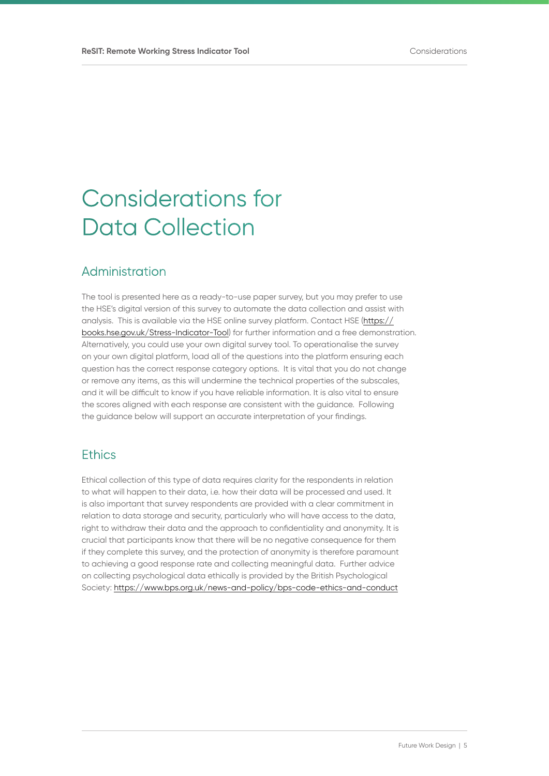# Considerations for Data Collection

## Administration

The tool is presented here as a ready-to-use paper survey, but you may prefer to use the HSE's digital version of this survey to automate the data collection and assist with analysis. This is available via the HSE online survey platform. Contact HSE [\(https://](https://books.hse.gov.uk/Stress-Indicator-Tool) [books.hse.gov.uk/Stress-Indicator-Tool](https://books.hse.gov.uk/Stress-Indicator-Tool)) for further information and a free demonstration. Alternatively, you could use your own digital survey tool. To operationalise the survey on your own digital platform, load all of the questions into the platform ensuring each question has the correct response category options. It is vital that you do not change or remove any items, as this will undermine the technical properties of the subscales, and it will be difficult to know if you have reliable information. It is also vital to ensure the scores aligned with each response are consistent with the guidance. Following the guidance below will support an accurate interpretation of your findings.

## **Ethics**

Ethical collection of this type of data requires clarity for the respondents in relation to what will happen to their data, i.e. how their data will be processed and used. It is also important that survey respondents are provided with a clear commitment in relation to data storage and security, particularly who will have access to the data, right to withdraw their data and the approach to confidentiality and anonymity. It is crucial that participants know that there will be no negative consequence for them if they complete this survey, and the protection of anonymity is therefore paramount to achieving a good response rate and collecting meaningful data. Further advice on collecting psychological data ethically is provided by the British Psychological Society: <https://www.bps.org.uk/news-and-policy/bps-code-ethics-and-conduct>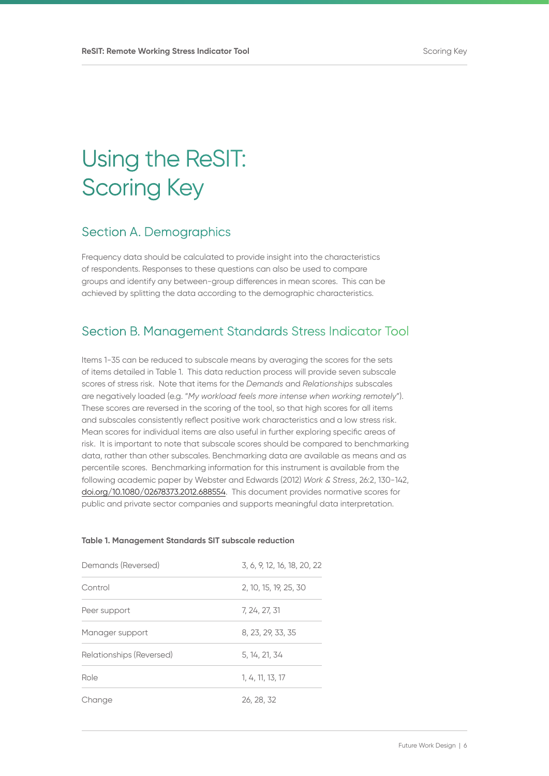# Using the ReSIT: Scoring Key

## Section A. Demographics

Frequency data should be calculated to provide insight into the characteristics of respondents. Responses to these questions can also be used to compare groups and identify any between-group differences in mean scores. This can be achieved by splitting the data according to the demographic characteristics.

# Section B. Management Standards Stress Indicator Tool

Items 1-35 can be reduced to subscale means by averaging the scores for the sets of items detailed in Table 1. This data reduction process will provide seven subscale scores of stress risk. Note that items for the *Demands* and *Relationships* subscales are negatively loaded (e.g. "*My workload feels more intense when working remotely*"). These scores are reversed in the scoring of the tool, so that high scores for all items and subscales consistently reflect positive work characteristics and a low stress risk. Mean scores for individual items are also useful in further exploring specific areas of risk. It is important to note that subscale scores should be compared to benchmarking data, rather than other subscales. Benchmarking data are available as means and as percentile scores. Benchmarking information for this instrument is available from the following academic paper by Webster and Edwards (2012) *Work & Stress*, 26:2, 130-142, [doi.org/10.1080/02678373.2012.688554.](http://doi.org/10.1080/02678373.2012.688554) This document provides normative scores for public and private sector companies and supports meaningful data interpretation.

### **Table 1. Management Standards SIT subscale reduction**

| Demands (Reversed)       | 3, 6, 9, 12, 16, 18, 20, 22 |  |  |  |
|--------------------------|-----------------------------|--|--|--|
| Control                  | 2, 10, 15, 19, 25, 30       |  |  |  |
| Peer support             | 7, 24, 27, 31               |  |  |  |
| Manager support          | 8, 23, 29, 33, 35           |  |  |  |
| Relationships (Reversed) | 5, 14, 21, 34               |  |  |  |
| Role                     | 1, 4, 11, 13, 17            |  |  |  |
| Change                   | 26, 28, 32                  |  |  |  |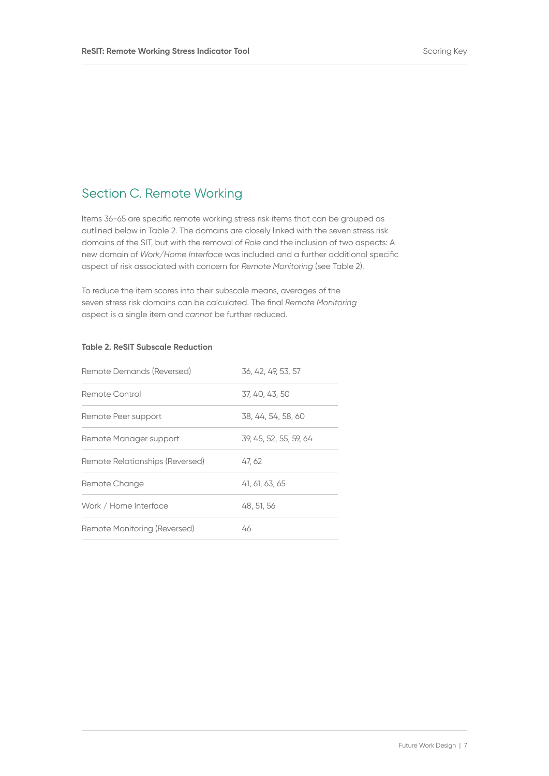# Section C. Remote Working

Items 36-65 are specific remote working stress risk items that can be grouped as outlined below in Table 2. The domains are closely linked with the seven stress risk domains of the SIT, but with the removal of *Role* and the inclusion of two aspects: A new domain of *Work/Home Interface* was included and a further additional specific aspect of risk associated with concern for *Remote Monitoring* (see Table 2).

To reduce the item scores into their subscale means, averages of the seven stress risk domains can be calculated. The final *Remote Monitoring*  aspect is a single item and *cannot* be further reduced.

### **Table 2. ReSIT Subscale Reduction**

| Remote Demands (Reversed)       | 36, 42, 49, 53, 57     |
|---------------------------------|------------------------|
| Remote Control                  | 37, 40, 43, 50         |
| Remote Peer support             | 38, 44, 54, 58, 60     |
| Remote Manager support          | 39, 45, 52, 55, 59, 64 |
| Remote Relationships (Reversed) | 47, 62                 |
| Remote Change                   | 41, 61, 63, 65         |
| Work / Home Interface           | 48, 51, 56             |
| Remote Monitoring (Reversed)    | 46                     |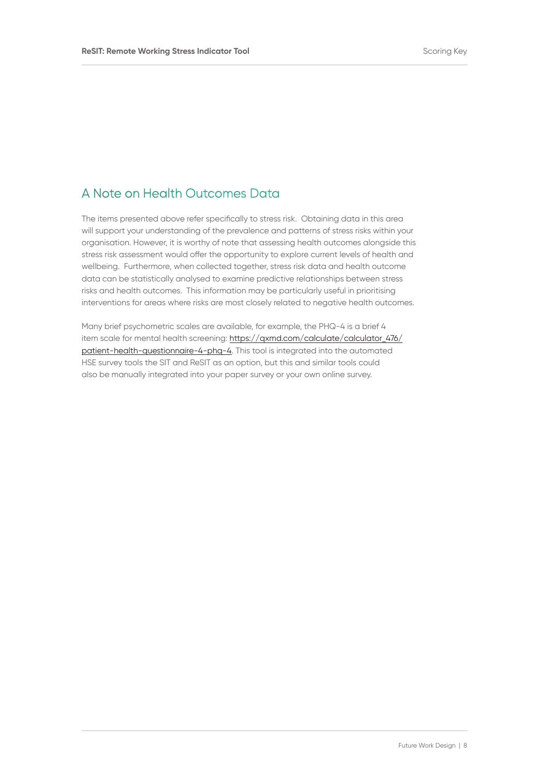# A Note on Health Outcomes Data

The items presented above refer specifically to stress risk. Obtaining data in this area will support your understanding of the prevalence and patterns of stress risks within your organisation. However, it is worthy of note that assessing health outcomes alongside this stress risk assessment would offer the opportunity to explore current levels of health and wellbeing. Furthermore, when collected together, stress risk data and health outcome data can be statistically analysed to examine predictive relationships between stress risks and health outcomes. This information may be particularly useful in prioritising interventions for areas where risks are most closely related to negative health outcomes.

Many brief psychometric scales are available, for example, the PHQ-4 is a brief 4 item scale for mental health screening: [https://qxmd.com/calculate/calculator\\_476/](https://qxmd.com/calculate/calculator_476/patient-health-questionnaire-4-phq-4) [patient-health-questionnaire-4-phq-4](https://qxmd.com/calculate/calculator_476/patient-health-questionnaire-4-phq-4). This tool is integrated into the automated HSE survey tools the SIT and ReSIT as an option, but this and similar tools could also be manually integrated into your paper survey or your own online survey.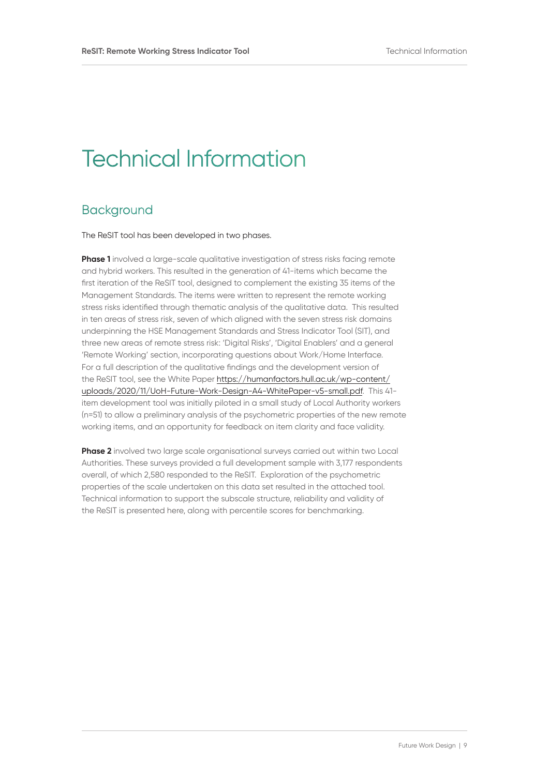# Technical Information

## **Background**

The ReSIT tool has been developed in two phases.

**Phase 1** involved a large-scale qualitative investigation of stress risks facing remote and hybrid workers. This resulted in the generation of 41-items which became the first iteration of the ReSIT tool, designed to complement the existing 35 items of the Management Standards. The items were written to represent the remote working stress risks identified through thematic analysis of the qualitative data. This resulted in ten areas of stress risk, seven of which aligned with the seven stress risk domains underpinning the HSE Management Standards and Stress Indicator Tool (SIT), and three new areas of remote stress risk: 'Digital Risks', 'Digital Enablers' and a general 'Remote Working' section, incorporating questions about Work/Home Interface. For a full description of the qualitative findings and the development version of the ReSIT tool, see the White Paper [https://humanfactors.hull.ac.uk/wp-content/](https://humanfactors.hull.ac.uk/wp-content/uploads/2020/11/UoH-Future-Work-Design-A4-WhitePaper-v5-small.pdf) [uploads/2020/11/UoH-Future-Work-Design-A4-WhitePaper-v5-small.pdf](https://humanfactors.hull.ac.uk/wp-content/uploads/2020/11/UoH-Future-Work-Design-A4-WhitePaper-v5-small.pdf). This 41 item development tool was initially piloted in a small study of Local Authority workers (n=51) to allow a preliminary analysis of the psychometric properties of the new remote working items, and an opportunity for feedback on item clarity and face validity.

**Phase 2** involved two large scale organisational surveys carried out within two Local Authorities. These surveys provided a full development sample with 3,177 respondents overall, of which 2,580 responded to the ReSIT. Exploration of the psychometric properties of the scale undertaken on this data set resulted in the attached tool. Technical information to support the subscale structure, reliability and validity of the ReSIT is presented here, along with percentile scores for benchmarking.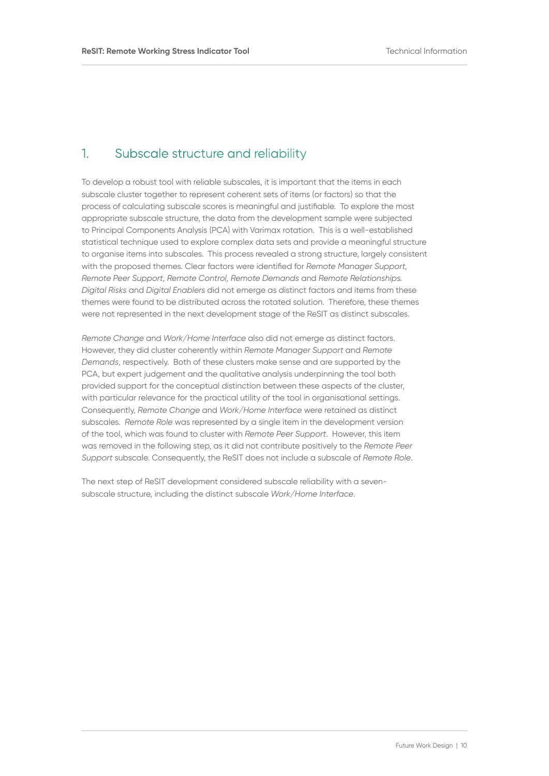## 1. Subscale structure and reliability

To develop a robust tool with reliable subscales, it is important that the items in each subscale cluster together to represent coherent sets of items (or factors) so that the process of calculating subscale scores is meaningful and justifiable. To explore the most appropriate subscale structure, the data from the development sample were subjected to Principal Components Analysis (PCA) with Varimax rotation. This is a well-established statistical technique used to explore complex data sets and provide a meaningful structure to organise items into subscales. This process revealed a strong structure, largely consistent with the proposed themes. Clear factors were identified for *Remote Manager Support, Remote Peer Support, Remote Control, Remote Demands* and *Remote Relationships. Digital Risks* and *Digital Enablers* did not emerge as distinct factors and items from these themes were found to be distributed across the rotated solution. Therefore, these themes were not represented in the next development stage of the ReSIT as distinct subscales.

*Remote Change* and *Work/Home Interface* also did not emerge as distinct factors. However, they did cluster coherently within *Remote Manager Support* and *Remote Demands*, respectively. Both of these clusters make sense and are supported by the PCA, but expert judgement and the qualitative analysis underpinning the tool both provided support for the conceptual distinction between these aspects of the cluster, with particular relevance for the practical utility of the tool in organisational settings. Consequently, *Remote Change* and *Work/Home Interface* were retained as distinct subscales. *Remote Role* was represented by a single item in the development version of the tool, which was found to cluster with *Remote Peer Support*. However, this item was removed in the following step, as it did not contribute positively to the *Remote Peer Support* subscale. Consequently, the ReSIT does not include a subscale of *Remote Role*.

The next step of ReSIT development considered subscale reliability with a sevensubscale structure, including the distinct subscale *Work/Home Interface*.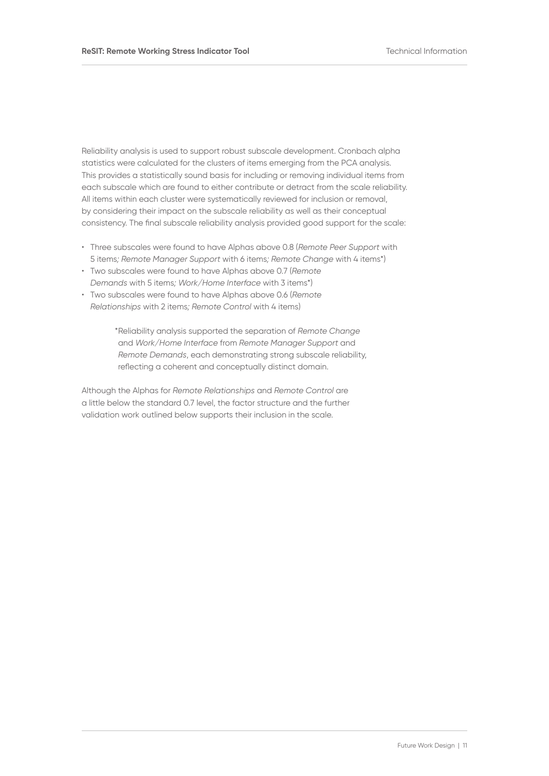Reliability analysis is used to support robust subscale development. Cronbach alpha statistics were calculated for the clusters of items emerging from the PCA analysis. This provides a statistically sound basis for including or removing individual items from each subscale which are found to either contribute or detract from the scale reliability. All items within each cluster were systematically reviewed for inclusion or removal, by considering their impact on the subscale reliability as well as their conceptual consistency. The final subscale reliability analysis provided good support for the scale:

- Three subscales were found to have Alphas above 0.8 (*Remote Peer Support* with 5 items*; Remote Manager Support* with 6 items*; Remote Change* with 4 items\*)
- Two subscales were found to have Alphas above 0.7 (*Remote Demands* with 5 items*; Work/Home Interface* with 3 items\*)
- Two subscales were found to have Alphas above 0.6 (*Remote Relationships* with 2 items*; Remote Control* with 4 items)

\*Reliability analysis supported the separation of *Remote Change*  and *Work/Home Interface* from *Remote Manager Support* and *Remote Demands*, each demonstrating strong subscale reliability, reflecting a coherent and conceptually distinct domain.

Although the Alphas for *Remote Relationships* and *Remote Control* are a little below the standard 0.7 level, the factor structure and the further validation work outlined below supports their inclusion in the scale.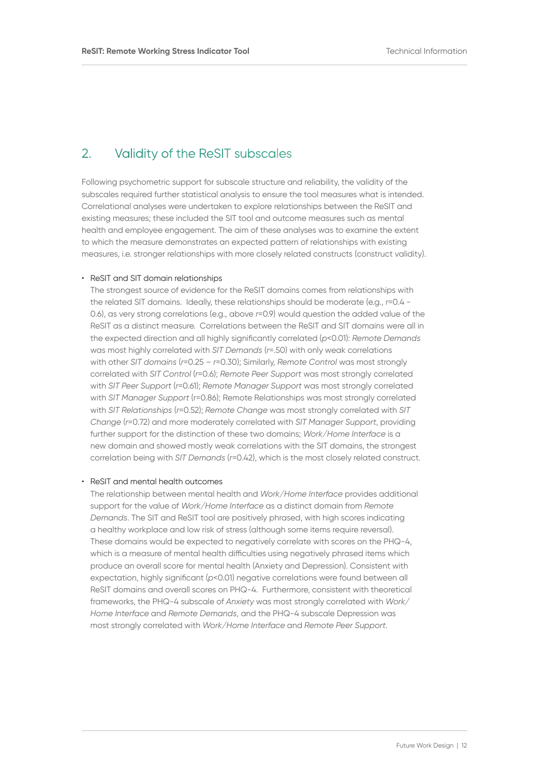## 2. Validity of the ReSIT subscales

Following psychometric support for subscale structure and reliability, the validity of the subscales required further statistical analysis to ensure the tool measures what is intended. Correlational analyses were undertaken to explore relationships between the ReSIT and existing measures; these included the SIT tool and outcome measures such as mental health and employee engagement. The aim of these analyses was to examine the extent to which the measure demonstrates an expected pattern of relationships with existing measures, i.e. stronger relationships with more closely related constructs (construct validity).

### • ReSIT and SIT domain relationships

The strongest source of evidence for the ReSIT domains comes from relationships with the related SIT domains. Ideally, these relationships should be moderate (e.g., *r*=0.4 - 0.6), as very strong correlations (e.g., above *r*=0.9) would question the added value of the ReSIT as a distinct measure. Correlations between the ReSIT and SIT domains were all in the expected direction and all highly significantly correlated (*p*<0.01): *Remote Demands* was most highly correlated with *SIT Demands* (*r*=.50) with only weak correlations with other *SIT domains* (*r*=0.25 – *r*=0.30); Similarly, *Remote Control* was most strongly correlated with *SIT Control* (*r*=0.6); *Remote Peer Support* was most strongly correlated with *SIT Peer Support* (*r*=0.61); *Remote Manager Support* was most strongly correlated with *SIT Manager Support* (r=0.86); Remote Relationships was most strongly correlated with *SIT Relationships* (*r*=0.52); *Remote Change* was most strongly correlated with *SIT Change* (*r*=0.72) and more moderately correlated with *SIT Manager Support*, providing further support for the distinction of these two domains; *Work/Home Interface* is a new domain and showed mostly weak correlations with the SIT domains, the strongest correlation being with *SIT Demands* (*r*=0.42), which is the most closely related construct.

### • ReSIT and mental health outcomes

The relationship between mental health and *Work/Home Interface* provides additional support for the value of *Work/Home Interface* as a distinct domain from *Remote Demands*. The SIT and ReSIT tool are positively phrased, with high scores indicating a healthy workplace and low risk of stress (although some items require reversal). These domains would be expected to negatively correlate with scores on the PHQ-4, which is a measure of mental health difficulties using negatively phrased items which produce an overall score for mental health (Anxiety and Depression). Consistent with expectation, highly significant (*p*<0.01) negative correlations were found between all ReSIT domains and overall scores on PHQ-4. Furthermore, consistent with theoretical frameworks, the PHQ-4 subscale of *Anxiety* was most strongly correlated with *Work/ Home Interface* and *Remote Demands*, and the PHQ-4 subscale Depression was most strongly correlated with *Work/Home Interface* and *Remote Peer Support*.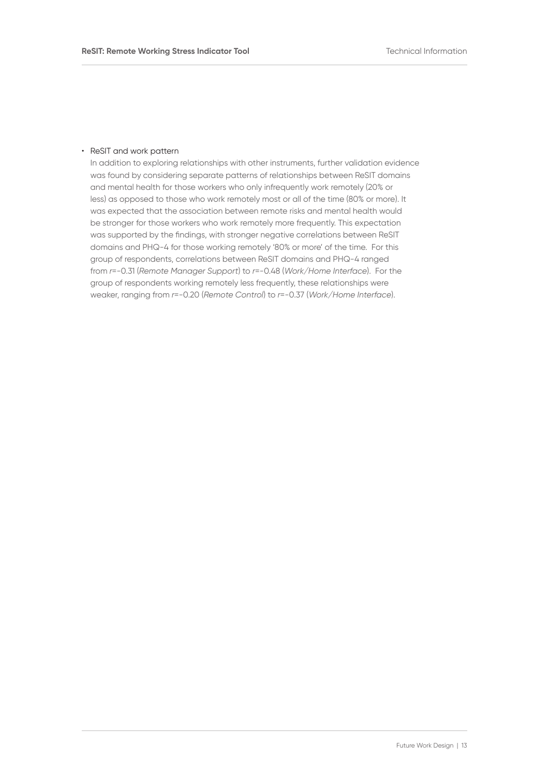### • ReSIT and work pattern

In addition to exploring relationships with other instruments, further validation evidence was found by considering separate patterns of relationships between ReSIT domains and mental health for those workers who only infrequently work remotely (20% or less) as opposed to those who work remotely most or all of the time (80% or more). It was expected that the association between remote risks and mental health would be stronger for those workers who work remotely more frequently. This expectation was supported by the findings, with stronger negative correlations between ReSIT domains and PHQ-4 for those working remotely '80% or more' of the time. For this group of respondents, correlations between ReSIT domains and PHQ-4 ranged from *r*=-0.31 (*Remote Manager Support*) to *r*=-0.48 (*Work/Home Interface*). For the group of respondents working remotely less frequently, these relationships were weaker, ranging from *r*=-0.20 (*Remote Control*) to *r*=-0.37 (*Work/Home Interface*).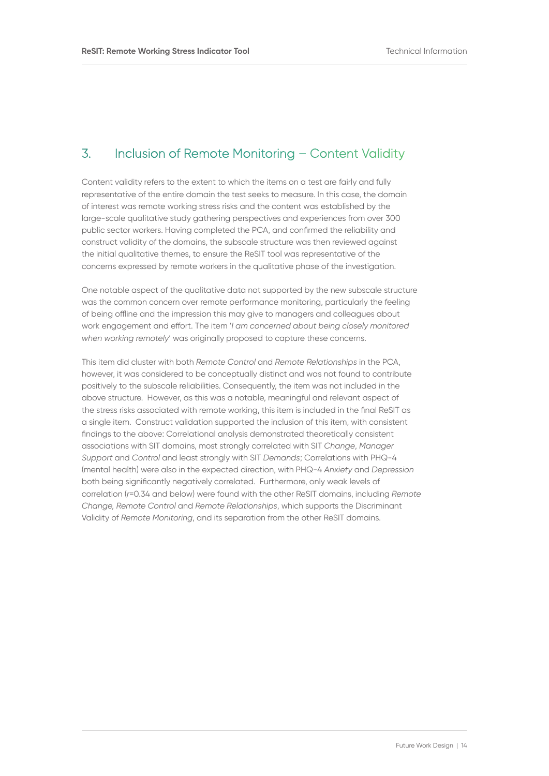## 3. Inclusion of Remote Monitoring – Content Validity

Content validity refers to the extent to which the items on a test are fairly and fully representative of the entire domain the test seeks to measure. In this case, the domain of interest was remote working stress risks and the content was established by the large-scale qualitative study gathering perspectives and experiences from over 300 public sector workers. Having completed the PCA, and confirmed the reliability and construct validity of the domains, the subscale structure was then reviewed against the initial qualitative themes, to ensure the ReSIT tool was representative of the concerns expressed by remote workers in the qualitative phase of the investigation.

One notable aspect of the qualitative data not supported by the new subscale structure was the common concern over remote performance monitoring, particularly the feeling of being offline and the impression this may give to managers and colleagues about work engagement and effort. The item '*I am concerned about being closely monitored when working remotely*' was originally proposed to capture these concerns.

This item did cluster with both *Remote Control* and *Remote Relationships* in the PCA, however, it was considered to be conceptually distinct and was not found to contribute positively to the subscale reliabilities. Consequently, the item was not included in the above structure. However, as this was a notable, meaningful and relevant aspect of the stress risks associated with remote working, this item is included in the final ReSIT as a single item. Construct validation supported the inclusion of this item, with consistent findings to the above: Correlational analysis demonstrated theoretically consistent associations with SIT domains, most strongly correlated with SIT *Change*, *Manager Support* and *Control* and least strongly with SIT *Demands*; Correlations with PHQ-4 (mental health) were also in the expected direction, with PHQ-4 *Anxiety* and *Depression* both being significantly negatively correlated. Furthermore, only weak levels of correlation (*r*=0.34 and below) were found with the other ReSIT domains, including *Remote Change, Remote Control* and *Remote Relationships*, which supports the Discriminant Validity of *Remote Monitoring*, and its separation from the other ReSIT domains.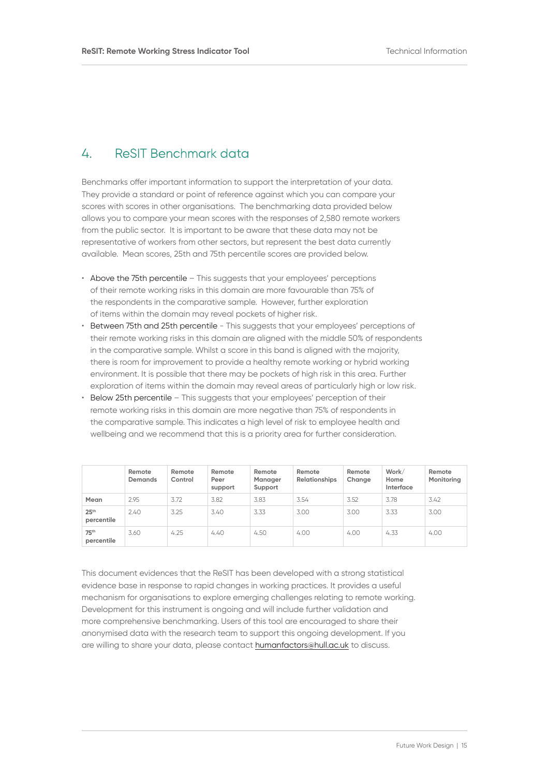# 4. ReSIT Benchmark data

Benchmarks offer important information to support the interpretation of your data. They provide a standard or point of reference against which you can compare your scores with scores in other organisations. The benchmarking data provided below allows you to compare your mean scores with the responses of 2,580 remote workers from the public sector. It is important to be aware that these data may not be representative of workers from other sectors, but represent the best data currently available. Mean scores, 25th and 75th percentile scores are provided below.

- Above the 75th percentile This suggests that your employees' perceptions of their remote working risks in this domain are more favourable than 75% of the respondents in the comparative sample. However, further exploration of items within the domain may reveal pockets of higher risk.
- Between 75th and 25th percentile This suggests that your employees' perceptions of their remote working risks in this domain are aligned with the middle 50% of respondents in the comparative sample. Whilst a score in this band is aligned with the majority, there is room for improvement to provide a healthy remote working or hybrid working environment. It is possible that there may be pockets of high risk in this area. Further exploration of items within the domain may reveal areas of particularly high or low risk.
- Below 25th percentile This suggests that your employees' perception of their remote working risks in this domain are more negative than 75% of respondents in the comparative sample. This indicates a high level of risk to employee health and wellbeing and we recommend that this is a priority area for further consideration.

|                                | Remote<br><b>Demands</b> | Remote<br>Control | Remote<br>Peer<br>support | Remote<br>Manager<br>Support | Remote<br><b>Relationships</b> | Remote<br>Change | Work/<br>Home<br>Interface | Remote<br>Monitoring |
|--------------------------------|--------------------------|-------------------|---------------------------|------------------------------|--------------------------------|------------------|----------------------------|----------------------|
| Mean                           | 2.95                     | 3.72              | 3.82                      | 3.83                         | 3.54                           | 3.52             | 3.78                       | 3.42                 |
| 25 <sup>th</sup><br>percentile | 2.40                     | 3.25              | 3.40                      | 3.33                         | 3.00                           | 3.00             | 3.33                       | 3.00                 |
| 75 <sup>th</sup><br>percentile | 3.60                     | 4.25              | 4.40                      | 4.50                         | 4.00                           | 4.00             | 4.33                       | 4.00                 |

This document evidences that the ReSIT has been developed with a strong statistical evidence base in response to rapid changes in working practices. It provides a useful mechanism for organisations to explore emerging challenges relating to remote working. Development for this instrument is ongoing and will include further validation and more comprehensive benchmarking. Users of this tool are encouraged to share their anonymised data with the research team to support this ongoing development. If you are willing to share your data, please contact [humanfactors@hull.ac.uk](mailto:humanfactors%40hull.ac.uk?subject=) to discuss.